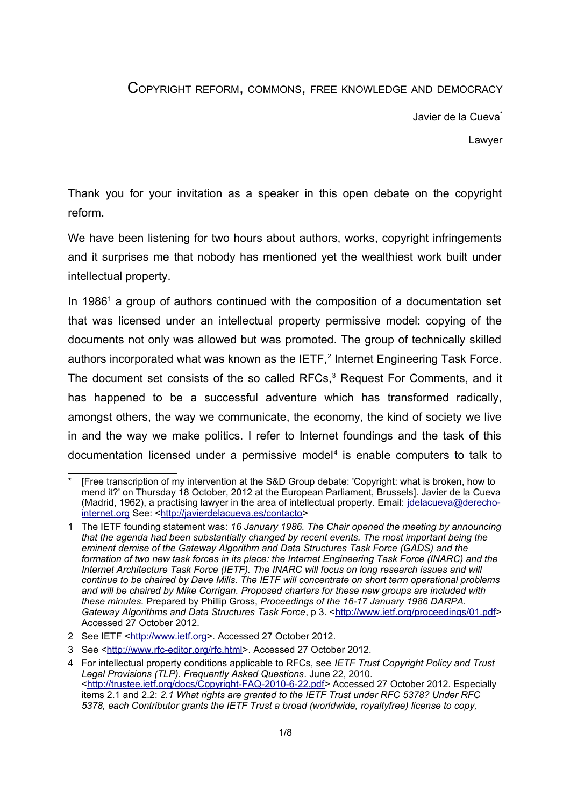## COPYRIGHT REFORM, COMMONS, FREE KNOWLEDGE AND DEMOCRACY

Javier de la Cueva<sup>[\\*](#page-0-0)</sup>

Lawyer

Thank you for your invitation as a speaker in this open debate on the copyright reform.

We have been listening for two hours about authors, works, copyright infringements and it surprises me that nobody has mentioned yet the wealthiest work built under intellectual property.

In [1](#page-0-1)986<sup>1</sup> a group of authors continued with the composition of a documentation set that was licensed under an intellectual property permissive model: copying of the documents not only was allowed but was promoted. The group of technically skilled authors incorporated what was known as the IETF, $^2$  $^2$  Internet Engineering Task Force. The document set consists of the so called  $RFCs<sub>1</sub><sup>3</sup>$  $RFCs<sub>1</sub><sup>3</sup>$  $RFCs<sub>1</sub><sup>3</sup>$  Request For Comments, and it has happened to be a successful adventure which has transformed radically, amongst others, the way we communicate, the economy, the kind of society we live in and the way we make politics. I refer to Internet foundings and the task of this documentation licensed under a permissive model $4$  is enable computers to talk to

<span id="page-0-0"></span><sup>\*</sup> [Free transcription of my intervention at the S&D Group debate: 'Copyright: what is broken, how to mend it?' on Thursday 18 October, 2012 at the European Parliament, Brussels]. Javier de la Cueva (Madrid, 1962), a practising lawyer in the area of intellectual property. Email: [jdelacueva@derecho](mailto:jdelacueva@derecho-internet.org)[internet.org](mailto:jdelacueva@derecho-internet.org) See: [<http://javierdelacueva.es/contacto>](http://javierdelacueva.es/contacto)

<span id="page-0-1"></span><sup>1</sup> The IETF founding statement was: *16 January 1986. The Chair opened the meeting by announcing that the agenda had been substantially changed by recent events. The most important being the eminent demise of the Gateway Algorithm and Data Structures Task Force (GADS) and the formation of two new task forces in its place: the Internet Engineering Task Force (INARC) and the Internet Architecture Task Force (IETF). The INARC will focus on long research issues and will continue to be chaired by Dave Mills. The IETF will concentrate on short term operational problems and will be chaired by Mike Corrigan. Proposed charters for these new groups are included with these minutes.* Prepared by Phillip Gross, *Proceedings of the 16-17 January 1986 DARPA.*  Gateway Algorithms and Data Structures Task Force, p 3. [<http://www.ietf.org/proceedings/01.pdf>](http://www.ietf.org/proceedings/01.pdf) Accessed 27 October 2012.

<span id="page-0-2"></span><sup>2</sup> See IETF [<http://www.ietf.org>](http://www.ietf.org/). Accessed 27 October 2012.

<span id="page-0-3"></span><sup>3</sup> See [<http://www.rfc-editor.org/rfc.html>](http://www.rfc-editor.org/rfc.html). Accessed 27 October 2012.

<span id="page-0-4"></span><sup>4</sup> For intellectual property conditions applicable to RFCs, see *IETF Trust Copyright Policy and Trust Legal Provisions (TLP). Frequently Asked Questions*. June 22, 2010. [<http://trustee.ietf.org/docs/Copyright-FAQ-2010-6-22.pdf>](http://trustee.ietf.org/docs/Copyright-FAQ-2010-6-22.pdf) Accessed 27 October 2012. Especially items 2.1 and 2.2: *2.1 What rights are granted to the IETF Trust under RFC 5378? Under RFC 5378, each Contributor grants the IETF Trust a broad (worldwide, royaltyfree) license to copy,*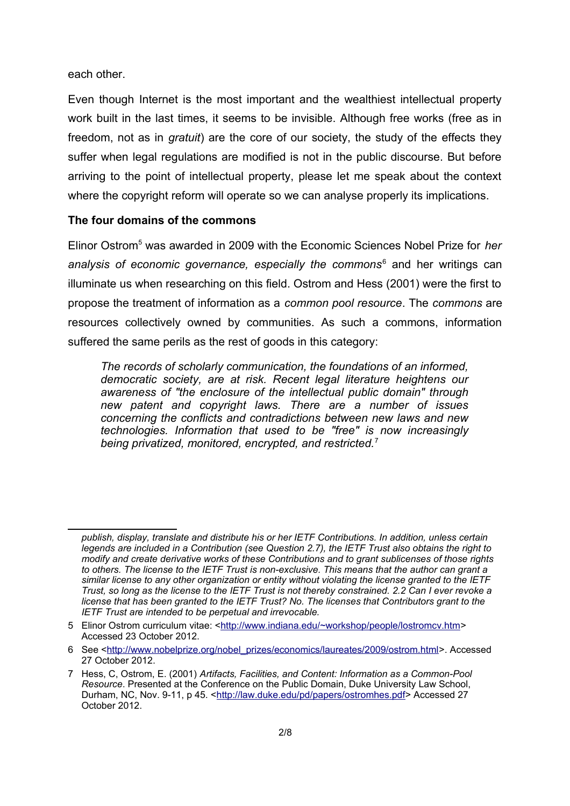each other.

Even though Internet is the most important and the wealthiest intellectual property work built in the last times, it seems to be invisible. Although free works (free as in freedom, not as in *gratuit*) are the core of our society, the study of the effects they suffer when legal regulations are modified is not in the public discourse. But before arriving to the point of intellectual property, please let me speak about the context where the copyright reform will operate so we can analyse properly its implications.

## **The four domains of the commons**

Elinor Ostrom<sup>[5](#page-1-0)</sup> was awarded in 2009 with the Economic Sciences Nobel Prize for *her* analysis of economic governance, especially the commons<sup>[6](#page-1-1)</sup> and her writings can illuminate us when researching on this field. Ostrom and Hess (2001) were the first to propose the treatment of information as a *common pool resource*. The *commons* are resources collectively owned by communities. As such a commons, information suffered the same perils as the rest of goods in this category:

*The records of scholarly communication, the foundations of an informed, democratic society, are at risk. Recent legal literature heightens our awareness of "the enclosure of the intellectual public domain" through new patent and copyright laws. There are a number of issues concerning the conflicts and contradictions between new laws and new technologies. Information that used to be "free" is now increasingly being privatized, monitored, encrypted, and restricted.*[7](#page-1-2)

*publish, display, translate and distribute his or her IETF Contributions. In addition, unless certain legends are included in a Contribution (see Question 2.7), the IETF Trust also obtains the right to modify and create derivative works of these Contributions and to grant sublicenses of those rights to others. The license to the IETF Trust is non-exclusive. This means that the author can grant a similar license to any other organization or entity without violating the license granted to the IETF Trust, so long as the license to the IETF Trust is not thereby constrained. 2.2 Can I ever revoke a license that has been granted to the IETF Trust? No. The licenses that Contributors grant to the IETF Trust are intended to be perpetual and irrevocable.*

<span id="page-1-0"></span><sup>5</sup> Elinor Ostrom curriculum vitae: [<http://www.indiana.edu/~workshop/people/lostromcv.htm>](http://www.indiana.edu/~workshop/people/lostromcv.htm) Accessed 23 October 2012.

<span id="page-1-1"></span><sup>6</sup> See [<http://www.nobelprize.org/nobel\\_prizes/economics/laureates/2009/ostrom.html>](http://www.nobelprize.org/nobel_prizes/economics/laureates/2009/ostrom.html). Accessed 27 October 2012.

<span id="page-1-2"></span><sup>7</sup> Hess, C, Ostrom, E. (2001) *Artifacts, Facilities, and Content: Information as a Common-Pool Resource*. Presented at the Conference on the Public Domain, Duke University Law School, Durham, NC, Nov. 9-11, p 45. [<http://law.duke.edu/pd/papers/ostromhes.pdf>](http://law.duke.edu/pd/papers/ostromhes.pdf) Accessed 27 October 2012.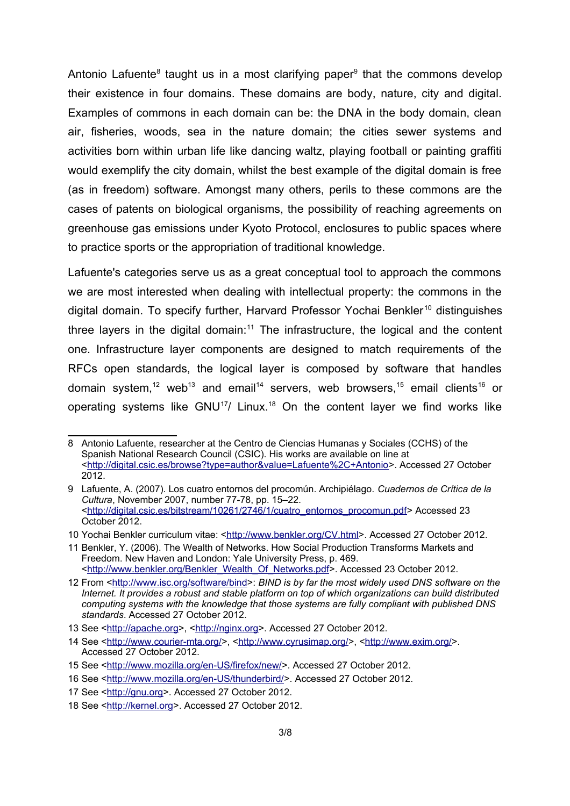Antonio Lafuente<sup>[8](#page-2-0)</sup> taught us in a most clarifying paper<sup>[9](#page-2-1)</sup> that the commons develop their existence in four domains. These domains are body, nature, city and digital. Examples of commons in each domain can be: the DNA in the body domain, clean air, fisheries, woods, sea in the nature domain; the cities sewer systems and activities born within urban life like dancing waltz, playing football or painting graffiti would exemplify the city domain, whilst the best example of the digital domain is free (as in freedom) software. Amongst many others, perils to these commons are the cases of patents on biological organisms, the possibility of reaching agreements on greenhouse gas emissions under Kyoto Protocol, enclosures to public spaces where to practice sports or the appropriation of traditional knowledge.

Lafuente's categories serve us as a great conceptual tool to approach the commons we are most interested when dealing with intellectual property: the commons in the digital domain. To specify further, Harvard Professor Yochai Benkler<sup>[10](#page-2-2)</sup> distinguishes three layers in the digital domain:<sup>[11](#page-2-3)</sup> The infrastructure, the logical and the content one. Infrastructure layer components are designed to match requirements of the RFCs open standards, the logical layer is composed by software that handles domain system,<sup>[12](#page-2-4)</sup> web<sup>[13](#page-2-5)</sup> and email<sup>[14](#page-2-6)</sup> servers, web browsers,<sup>[15](#page-2-7)</sup> email clients<sup>[16](#page-2-8)</sup> or operating systems like GNU<sup>[17](#page-2-9)</sup>/ Linux.<sup>[18](#page-2-10)</sup> On the content layer we find works like

<span id="page-2-0"></span><sup>8</sup> Antonio Lafuente, researcher at the Centro de Ciencias Humanas y Sociales (CCHS) of the Spanish National Research Council (CSIC). His works are available on line at [<http://digital.csic.es/browse?type=author&value=Lafuente%2C+Antonio>](http://digital.csic.es/browse?type=author&value=Lafuente%2C+Antonio). Accessed 27 October 2012.

<span id="page-2-1"></span><sup>9</sup> Lafuente, A. (2007). Los cuatro entornos del procomún. Archipiélago. *Cuadernos de Crítica de la Cultura*, November 2007, number 77-78, pp. 15–22. [<http://digital.csic.es/bitstream/10261/2746/1/cuatro\\_entornos\\_procomun.pdf>](http://digital.csic.es/bitstream/10261/2746/1/cuatro_entornos_procomun.pdf) Accessed 23 October 2012.

<span id="page-2-2"></span><sup>10</sup> Yochai Benkler curriculum vitae: [<http://www.benkler.org/CV.html>](http://www.benkler.org/CV.html). Accessed 27 October 2012.

<span id="page-2-3"></span><sup>11</sup> Benkler, Y. (2006). The Wealth of Networks. How Social Production Transforms Markets and Freedom. New Haven and London: Yale University Press, p. 469. [<http://www.benkler.org/Benkler\\_Wealth\\_Of\\_Networks.pdf>](http://www.benkler.org/Benkler_Wealth_Of_Networks.pdf). Accessed 23 October 2012.

<span id="page-2-4"></span><sup>12</sup> From [<http://www.isc.org/software/bind>](http://www.isc.org/software/bind): *BIND is by far the most widely used DNS software on the Internet. It provides a robust and stable platform on top of which organizations can build distributed computing systems with the knowledge that those systems are fully compliant with published DNS standards*. Accessed 27 October 2012.

<span id="page-2-5"></span><sup>13</sup> See [<http://apache.org>](http://apache.org/), [<http://nginx.org>](http://nginx.org/). Accessed 27 October 2012.

<span id="page-2-6"></span><sup>14</sup> See [<http://www.courier-mta.org/>](http://www.courier-mta.org/), [<http://www.cyrusimap.org/>](http://www.cyrusimap.org/), [<http://www.exim.org/>](http://www.exim.org/). Accessed 27 October 2012.

<span id="page-2-7"></span><sup>15</sup> See [<http://www.mozilla.org/en-US/firefox/new/>](http://www.mozilla.org/en-US/firefox/new/). Accessed 27 October 2012.

<span id="page-2-8"></span><sup>16</sup> See [<http://www.mozilla.org/en-US/thunderbird/>](http://www.mozilla.org/en-US/thunderbird/). Accessed 27 October 2012.

<span id="page-2-9"></span><sup>17</sup> See [<http://gnu.org>](http://gnu.org/). Accessed 27 October 2012.

<span id="page-2-10"></span><sup>18</sup> See [<http://kernel.org>](http://kernel.org/). Accessed 27 October 2012.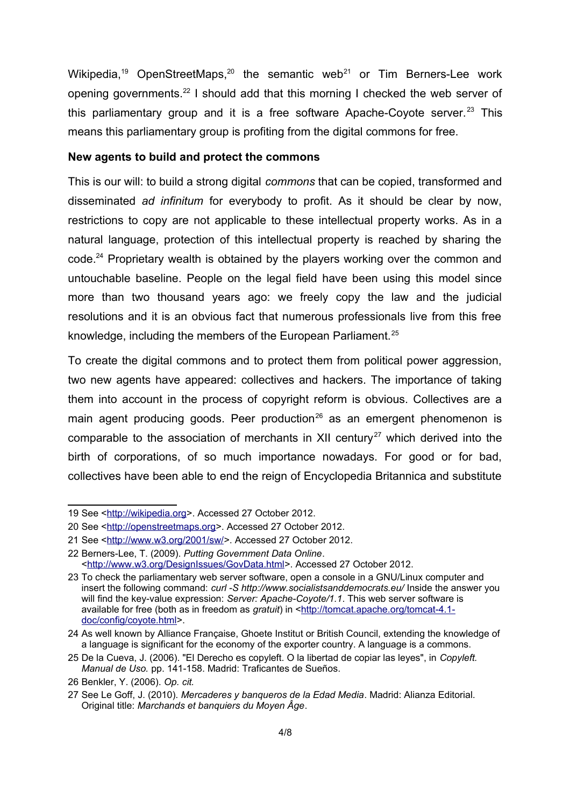Wikipedia,<sup>[19](#page-3-0)</sup> OpenStreetMaps,<sup>[20](#page-3-1)</sup> the semantic web<sup>[21](#page-3-2)</sup> or Tim Berners-Lee work opening governments.[22](#page-3-3) I should add that this morning I checked the web server of this parliamentary group and it is a free software Apache-Coyote server.<sup>[23](#page-3-4)</sup> This means this parliamentary group is profiting from the digital commons for free.

## **New agents to build and protect the commons**

This is our will: to build a strong digital *commons* that can be copied, transformed and disseminated *ad infinitum* for everybody to profit. As it should be clear by now, restrictions to copy are not applicable to these intellectual property works. As in a natural language, protection of this intellectual property is reached by sharing the code.<sup>[24](#page-3-5)</sup> Proprietary wealth is obtained by the players working over the common and untouchable baseline. People on the legal field have been using this model since more than two thousand years ago: we freely copy the law and the judicial resolutions and it is an obvious fact that numerous professionals live from this free knowledge, including the members of the European Parliament.<sup>[25](#page-3-6)</sup>

To create the digital commons and to protect them from political power aggression, two new agents have appeared: collectives and hackers. The importance of taking them into account in the process of copyright reform is obvious. Collectives are a main agent producing goods. Peer production<sup>[26](#page-3-7)</sup> as an emergent phenomenon is comparable to the association of merchants in XII century<sup>[27](#page-3-8)</sup> which derived into the birth of corporations, of so much importance nowadays. For good or for bad, collectives have been able to end the reign of Encyclopedia Britannica and substitute

<span id="page-3-0"></span><sup>19</sup> See [<http://wikipedia.org>](http://wikipedia.org/). Accessed 27 October 2012.

<span id="page-3-1"></span><sup>20</sup> See [<http://openstreetmaps.org>](http://openstreetmaps.org/). Accessed 27 October 2012.

<span id="page-3-2"></span><sup>21</sup> See [<http://www.w3.org/2001/sw/>](http://www.w3.org/2001/sw/). Accessed 27 October 2012.

<span id="page-3-3"></span><sup>22</sup> Berners-Lee, T. (2009). *Putting Government Data Online*. [<http://www.w3.org/DesignIssues/GovData.html>](http://www.w3.org/DesignIssues/GovData.html). Accessed 27 October 2012.

<span id="page-3-4"></span><sup>23</sup> To check the parliamentary web server software, open a console in a GNU/Linux computer and insert the following command: *curl -S http://www.socialistsanddemocrats.eu/* Inside the answer you will find the key-value expression: *Server: Apache-Coyote/1.1*. This web server software is available for free (both as in freedom as *gratuit*) in [<http://tomcat.apache.org/tomcat-4.1](http://tomcat.apache.org/tomcat-4.1-doc/config/coyote.html) [doc/config/coyote.html>](http://tomcat.apache.org/tomcat-4.1-doc/config/coyote.html).

<span id="page-3-5"></span><sup>24</sup> As well known by Alliance Française, Ghoete Institut or British Council, extending the knowledge of a language is significant for the economy of the exporter country. A language is a commons.

<span id="page-3-6"></span><sup>25</sup> De la Cueva, J. (2006). "El Derecho es copyleft. O la libertad de copiar las leyes", in *Copyleft. Manual de Uso.* pp. 141-158. Madrid: Traficantes de Sueños.

<span id="page-3-7"></span><sup>26</sup> Benkler, Y. (2006). *Op. cit.*

<span id="page-3-8"></span><sup>27</sup> See Le Goff, J. (2010). *Mercaderes y banqueros de la Edad Media*. Madrid: Alianza Editorial. Original title: *Marchands et banquiers du Moyen Âge*.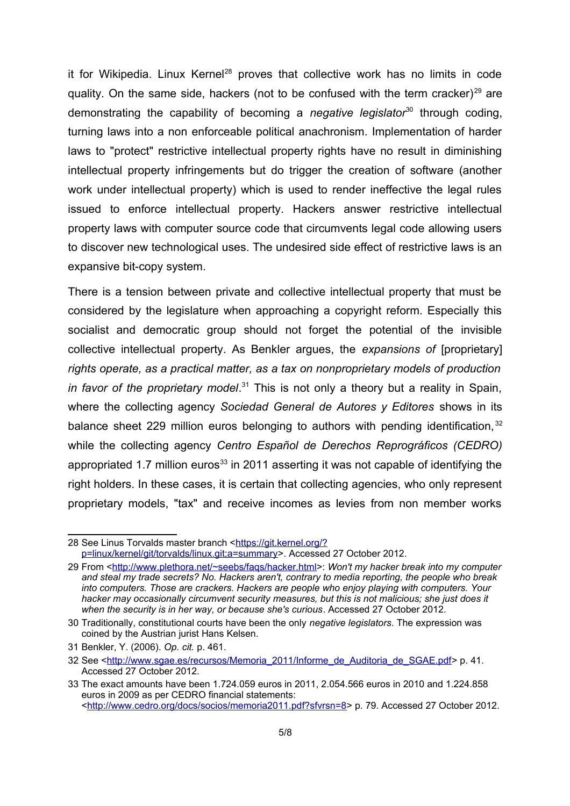it for Wikipedia. Linux Kernel<sup>[28](#page-4-0)</sup> proves that collective work has no limits in code quality. On the same side, hackers (not to be confused with the term cracker)<sup>[29](#page-4-1)</sup> are demonstrating the capability of becoming a *negative legislator*<sup>[30](#page-4-2)</sup> through coding, turning laws into a non enforceable political anachronism. Implementation of harder laws to "protect" restrictive intellectual property rights have no result in diminishing intellectual property infringements but do trigger the creation of software (another work under intellectual property) which is used to render ineffective the legal rules issued to enforce intellectual property. Hackers answer restrictive intellectual property laws with computer source code that circumvents legal code allowing users to discover new technological uses. The undesired side effect of restrictive laws is an expansive bit-copy system.

There is a tension between private and collective intellectual property that must be considered by the legislature when approaching a copyright reform. Especially this socialist and democratic group should not forget the potential of the invisible collective intellectual property. As Benkler argues, the *expansions of* [proprietary] *rights operate, as a practical matter, as a tax on nonproprietary models of production* in favor of the proprietary model.<sup>[31](#page-4-3)</sup> This is not only a theory but a reality in Spain, where the collecting agency *Sociedad General de Autores y Editores* shows in its balance sheet 229 million euros belonging to authors with pending identification, [32](#page-4-4) while the collecting agency *Centro Español de Derechos Reprográficos (CEDRO)* appropriated 1.7 million euros<sup>[33](#page-4-5)</sup> in 2011 asserting it was not capable of identifying the right holders. In these cases, it is certain that collecting agencies, who only represent proprietary models, "tax" and receive incomes as levies from non member works

<span id="page-4-0"></span><sup>28</sup> See Linus Torvalds master branch [<https://git.kernel.org/?](https://git.kernel.org/?p=linux/kernel/git/torvalds/linux.git;a=summary) [p=linux/kernel/git/torvalds/linux.git;a=summary>](https://git.kernel.org/?p=linux/kernel/git/torvalds/linux.git;a=summary). Accessed 27 October 2012.

<span id="page-4-1"></span><sup>29</sup> From [<http://www.plethora.net/~seebs/faqs/hacker.html>](http://www.plethora.net/~seebs/faqs/hacker.html): *Won't my hacker break into my computer and steal my trade secrets? No. Hackers aren't, contrary to media reporting, the people who break into computers. Those are crackers. Hackers are people who enjoy playing with computers. Your hacker may occasionally circumvent security measures, but this is not malicious; she just does it when the security is in her way, or because she's curious*. Accessed 27 October 2012.

<span id="page-4-2"></span><sup>30</sup> Traditionally, constitutional courts have been the only *negative legislators*. The expression was coined by the Austrian jurist Hans Kelsen.

<span id="page-4-3"></span><sup>31</sup> Benkler, Y. (2006). *Op. cit.* p. 461.

<span id="page-4-4"></span><sup>32</sup> See [<http://www.sgae.es/recursos/Memoria\\_2011/Informe\\_de\\_Auditoria\\_de\\_SGAE.pdf>](http://www.sgae.es/recursos/Memoria_2011/Informe_de_Auditoria_de_SGAE.pdf) p. 41. Accessed 27 October 2012.

<span id="page-4-5"></span><sup>33</sup> The exact amounts have been 1.724.059 euros in 2011, 2.054.566 euros in 2010 and 1.224.858 euros in 2009 as per CEDRO financial statements: [<http://www.cedro.org/docs/socios/memoria2011.pdf?sfvrsn=8>](http://www.cedro.org/docs/socios/memoria2011.pdf?sfvrsn=8) p. 79. Accessed 27 October 2012.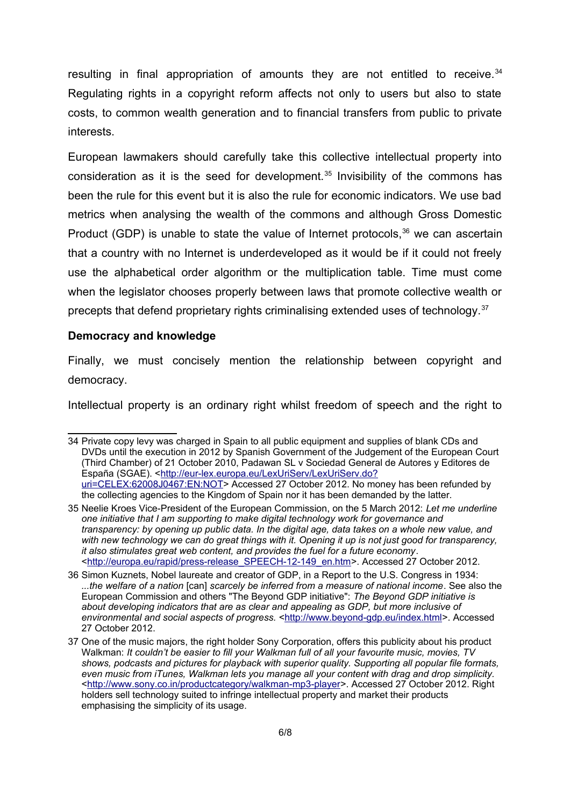resulting in final appropriation of amounts they are not entitled to receive.<sup>[34](#page-5-0)</sup> Regulating rights in a copyright reform affects not only to users but also to state costs, to common wealth generation and to financial transfers from public to private interests.

European lawmakers should carefully take this collective intellectual property into consideration as it is the seed for development.<sup>[35](#page-5-1)</sup> Invisibility of the commons has been the rule for this event but it is also the rule for economic indicators. We use bad metrics when analysing the wealth of the commons and although Gross Domestic Product (GDP) is unable to state the value of Internet protocols,  $36$  we can ascertain that a country with no Internet is underdeveloped as it would be if it could not freely use the alphabetical order algorithm or the multiplication table. Time must come when the legislator chooses properly between laws that promote collective wealth or precepts that defend proprietary rights criminalising extended uses of technology.[37](#page-5-3)

## **Democracy and knowledge**

Finally, we must concisely mention the relationship between copyright and democracy.

Intellectual property is an ordinary right whilst freedom of speech and the right to

<span id="page-5-0"></span><sup>34</sup> Private copy levy was charged in Spain to all public equipment and supplies of blank CDs and DVDs until the execution in 2012 by Spanish Government of the Judgement of the European Court (Third Chamber) of 21 October 2010, Padawan SL v Sociedad General de Autores y Editores de España (SGAE). [<http://eur-lex.europa.eu/LexUriServ/LexUriServ.do?](http://eur-lex.europa.eu/LexUriServ/LexUriServ.do?uri=CELEX:62008J0467:EN:NOT) [uri=CELEX:62008J0467:EN:NOT>](http://eur-lex.europa.eu/LexUriServ/LexUriServ.do?uri=CELEX:62008J0467:EN:NOT) Accessed 27 October 2012. No money has been refunded by the collecting agencies to the Kingdom of Spain nor it has been demanded by the latter.

<span id="page-5-1"></span><sup>35</sup> Neelie Kroes Vice-President of the European Commission, on the 5 March 2012: *Let me underline one initiative that I am supporting to make digital technology work for governance and transparency: by opening up public data. In the digital age, data takes on a whole new value, and with new technology we can do great things with it. Opening it up is not just good for transparency, it also stimulates great web content, and provides the fuel for a future economy*. [<http://europa.eu/rapid/press-release\\_SPEECH-12-149\\_en.htm>](http://europa.eu/rapid/press-release_SPEECH-12-149_en.htm). Accessed 27 October 2012.

<span id="page-5-2"></span><sup>36</sup> Simon Kuznets, Nobel laureate and creator of GDP, in a Report to the U.S. Congress in 1934: *...the welfare of a nation* [can] *scarcely be inferred from a measure of national income*. See also the European Commission and others "The Beyond GDP initiative": *The Beyond GDP initiative is*  about developing indicators that are as clear and appealing as GDP, but more inclusive of *environmental and social aspects of progress.* [<http://www.beyond-gdp.eu/index.html>](http://www.beyond-gdp.eu/index.html). Accessed 27 October 2012.

<span id="page-5-3"></span><sup>37</sup> One of the music majors, the right holder Sony Corporation, offers this publicity about his product Walkman: *It couldn't be easier to fill your Walkman full of all your favourite music, movies, TV shows, podcasts and pictures for playback with superior quality. Supporting all popular file formats, even music from iTunes, Walkman lets you manage all your content with drag and drop simplicity.* [<http://www.sony.co.in/productcategory/walkman-mp3-player>](http://www.sony.co.in/productcategory/walkman-mp3-player). Accessed 27 October 2012. Right holders sell technology suited to infringe intellectual property and market their products emphasising the simplicity of its usage.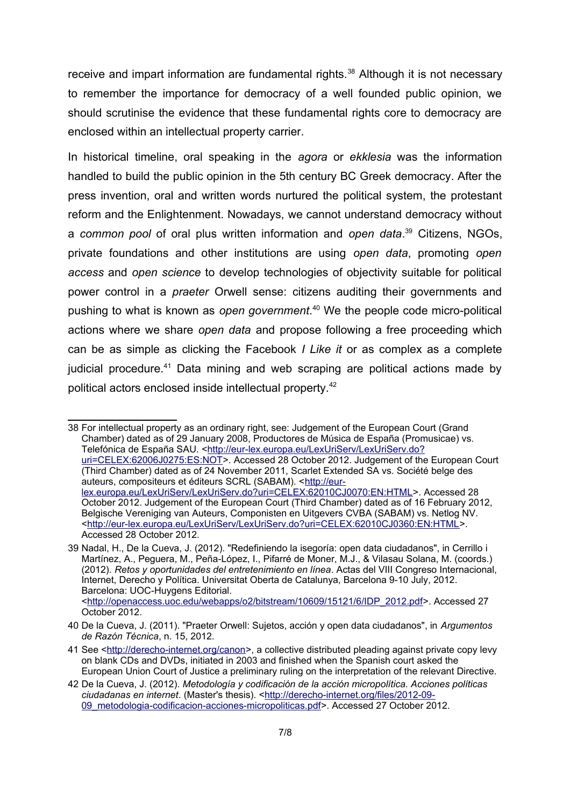receive and impart information are fundamental rights.<sup>[38](#page-6-0)</sup> Although it is not necessary to remember the importance for democracy of a well founded public opinion, we should scrutinise the evidence that these fundamental rights core to democracy are enclosed within an intellectual property carrier.

In historical timeline, oral speaking in the *agora* or *ekklesia* was the information handled to build the public opinion in the 5th century BC Greek democracy. After the press invention, oral and written words nurtured the political system, the protestant reform and the Enlightenment. Nowadays, we cannot understand democracy without a *common pool* of oral plus written information and *open data*. [39](#page-6-1) Citizens, NGOs, private foundations and other institutions are using *open data*, promoting *open access* and *open science* to develop technologies of objectivity suitable for political power control in a *praeter* Orwell sense: citizens auditing their governments and pushing to what is known as *open government*. [40](#page-6-2) We the people code micro-political actions where we share *open data* and propose following a free proceeding which can be as simple as clicking the Facebook *I Like it* or as complex as a complete judicial procedure.<sup>[41](#page-6-3)</sup> Data mining and web scraping are political actions made by political actors enclosed inside intellectual property.[42](#page-6-4)

<span id="page-6-0"></span>38 For intellectual property as an ordinary right, see: Judgement of the European Court (Grand Chamber) dated as of 29 January 2008, Productores de Música de España (Promusicae) vs. Telefónica de España SAU. [<http://eur-lex.europa.eu/LexUriServ/LexUriServ.do?](http://eur-lex.europa.eu/LexUriServ/LexUriServ.do?uri=CELEX:62006J0275:ES:NOT) [uri=CELEX:62006J0275:ES:NOT>](http://eur-lex.europa.eu/LexUriServ/LexUriServ.do?uri=CELEX:62006J0275:ES:NOT). Accessed 28 October 2012. Judgement of the European Court (Third Chamber) dated as of 24 November 2011, Scarlet Extended SA vs. Société belge des auteurs, compositeurs et éditeurs SCRL (SABAM). [<http://eur](http://eur-lex.europa.eu/LexUriServ/LexUriServ.do?uri=CELEX:62010CJ0070:EN:HTML)[lex.europa.eu/LexUriServ/LexUriServ.do?uri=CELEX:62010CJ0070:EN:HTML>](http://eur-lex.europa.eu/LexUriServ/LexUriServ.do?uri=CELEX:62010CJ0070:EN:HTML). Accessed 28 October 2012. Judgement of the European Court (Third Chamber) dated as of 16 February 2012, Belgische Vereniging van Auteurs, Componisten en Uitgevers CVBA (SABAM) vs. Netlog NV. [<http://eur-lex.europa.eu/LexUriServ/LexUriServ.do?uri=CELEX:62010CJ0360:EN:HTML>](http://eur-lex.europa.eu/LexUriServ/LexUriServ.do?uri=CELEX:62010CJ0360:EN:HTML). Accessed 28 October 2012.

<span id="page-6-1"></span><sup>39</sup> Nadal, H., De la Cueva, J. (2012). "Redefiniendo la isegoría: open data ciudadanos", in Cerrillo i Martínez, A., Peguera, M., Peña-López, I., Pifarré de Moner, M.J., & Vilasau Solana, M. (coords.) (2012). *Retos y oportunidades del entretenimiento en línea*. Actas del VIII Congreso Internacional, Internet, Derecho y Política. Universitat Oberta de Catalunya, Barcelona 9-10 July, 2012. Barcelona: UOC-Huygens Editorial. [<http://openaccess.uoc.edu/webapps/o2/bitstream/10609/15121/6/IDP\\_2012.pdf>](http://openaccess.uoc.edu/webapps/o2/bitstream/10609/15121/6/IDP_2012.pdf). Accessed 27

October 2012.

<span id="page-6-2"></span><sup>40</sup> De la Cueva, J. (2011). "Praeter Orwell: Sujetos, acción y open data ciudadanos", in *Argumentos de Razón Técnica*, n. 15, 2012.

<span id="page-6-3"></span><sup>41</sup> See [<http://derecho-internet.org/canon>](http://derecho-internet.org/canon), a collective distributed pleading against private copy levy on blank CDs and DVDs, initiated in 2003 and finished when the Spanish court asked the European Union Court of Justice a preliminary ruling on the interpretation of the relevant Directive.

<span id="page-6-4"></span><sup>42</sup> De la Cueva, J. (2012). *Metodología y codificación de la acción micropolítica. Acciones políticas*  ciudadanas en internet. (Master's thesis). [<http://derecho-internet.org/files/2012-09-](http://derecho-internet.org/files/2012-09-09_metodologia-codificacion-acciones-micropoliticas.pdf) 09 metodologia-codificacion-acciones-micropoliticas.pdf>. Accessed 27 October 2012.